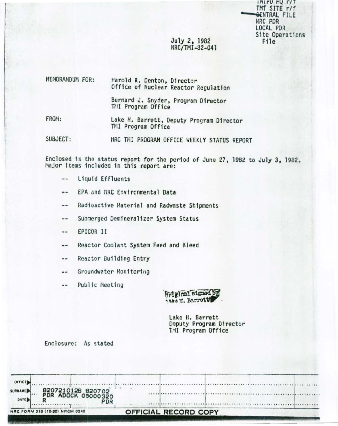$\frac{1}{111110}$   $\frac{1}{1111}$ TMI SITE r/f GENTRAL FILE NRC PDR LOCAL PDR Site Operations File

### July 2, 1982 NRC/TMI-82-041

| MEMORANDUM FOR: | Harold R. Denton, Director<br>Office of Nuclear Reactor Regulation |
|-----------------|--------------------------------------------------------------------|
|                 | Bernard J. Snyder, Program Director<br>THI Program Office          |
| FROM:           | Lake H. Barrett, Deputy Program Director<br>TMI Program Office     |

SUBJECT: NRC THI PROGRAM OFFICE WEEKLY STATUS REPORT

Enclosed is the status report for the period of June 27, 1982 to July 3, 1982. Major items included in this report are:

- $-$ Liquid Effluents
- EPA and NRC Environmental Data  $\cdots$
- Radioactive Material and Radwaste Shipments  $\cdots$
- Submerged Demineralizer System Status  $\sim$   $-$
- EPICOR II  $\cdots$
- Reactor Coolant System Feed and Bleed  $\cdots$
- Reactor Building Entry  $\sim$   $-$
- Groundwater Monitoring  $\frac{1}{2}$
- Public Meeting  $\cdots$



Lake H. Barrett Deputy Program Director TMI Program Office

Enclosure: As stated

| <b>DATE</b>                     | PDR                                     |  |  |  |
|---------------------------------|-----------------------------------------|--|--|--|
| <b>OFFICE</b><br><b>SURNAME</b> | 8207210128 820702<br>PDR ADOCK 05000320 |  |  |  |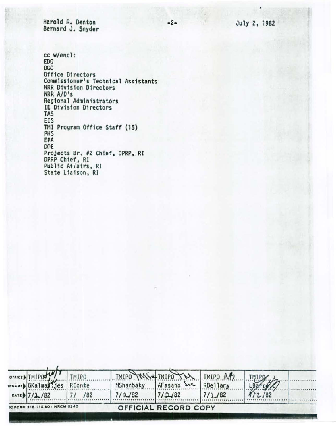Harold R. Denton Bernard J. Snyder

cc w/encl: **EDO** OGC Office Directors Commissioner's Technical Assistants NRR Division Directors NRR A/D's Regional Administrators IE Division Directo **TAS** EIS TMI Program Office Staff (15) PHS EPA DOE Projects Br. #2 Chief, DPRP, RI<br>DPRP Chief, RI Public Atiairs, RI State Liaison, RI

| 10013                               |  |  |  |
|-------------------------------------|--|--|--|
| rs                                  |  |  |  |
|                                     |  |  |  |
|                                     |  |  |  |
|                                     |  |  |  |
|                                     |  |  |  |
| the contract of the contract of the |  |  |  |

 $-2-$ 

|                               |     |           | TMIPO TANS& TMIPO TU TMIPO MB |        |          |  |
|-------------------------------|-----|-----------|-------------------------------|--------|----------|--|
| TMIPO                         |     | MShanbaky | AFasano Soe RBellamy          |        | LBarret? |  |
| DATE $7/2/82$                 | /82 | 7/2/82    | 17/2/82                       | 7/2/82 | 112/82   |  |
| IC FORM 318 (10-80) NRCM 0240 |     |           | OFFICIAL RECORD COPY          |        |          |  |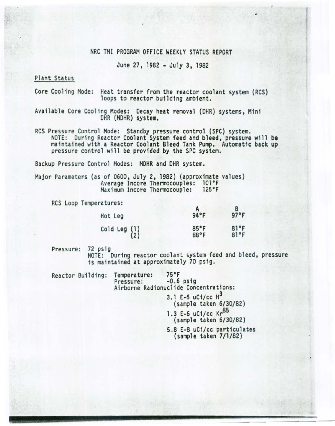#### NRC TMI PROGRAM OFFICE WEEKLY STATUS REPORT

•

June 27, 1982- July 3, 1982

Plant Status

Core Cooling Mode: Heat transfer from the reactor coolant system (RCS)<br>loops to reactor building ambient.

Available Core Cooling Modes: Decay heat removal (DHR) systems, Mini DHR (MOHR) system.

RCS Pressure Control Mode: Standby pressure control (SPC) system. NOTE: During Reactor Coolant System feed and bleed, pressure will be maintained w1th a Reactor Coolant Bleed Tank Pump. Automatic back up pressure control will be provided by the SPC system.

Backup Pressure Control Modes: MOHR and DHR system.

Major Parameters (as of 0600, July 2, 1982) (approximate values)<br>Average Incore Thermocouples: 101°F<br>Maximum Incore Thermocouple: 125°F Maximum Incore Thermocouple:

RCS Loop Temperatures:

| Hot Leg                                         | 94°F         | 97°F         |
|-------------------------------------------------|--------------|--------------|
| Cold Leg $\begin{Bmatrix} 1 \\ 2 \end{Bmatrix}$ | 85°F<br>88°F | 81°F<br>81°F |

Pressure: 72 psig<br>NOTE: During reactor coolant system feed and bleed, pressure<br>is maintained at approximately 70 psig.

Reactor Building: Temperature: 75°F<br>Pressure: -0.6 psig Airborne Radionuclide Concentrations:

3.1 E-6 uC1/cc  $H^3$ (sample taken 6/30/82) 1.3 E-6 uCi/cc Kr<sup>85</sup> (sample taken 6/30/82} 5.8 E-8 uCi/cc particulates (sample taken 7/l/82) ·

- - - - - - -----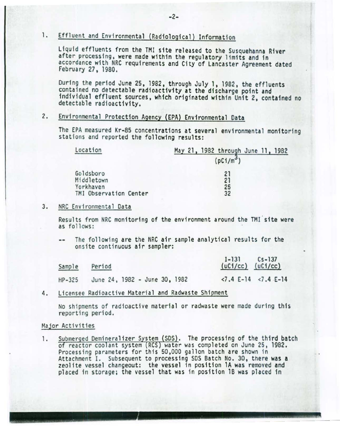# 1. Effluent and Environmental (Radiological} Information

Liquid effluents from the TMI site released to the Susquehanna River after processing, were made within the regulatory limits and in accordance with NRC requirements and City of Lancaster Agreement dated February 27, 1980 .

During the period June 25, 1982, through July 1, 1982, the effluents contained no detectable radioactivity at the discharge point and fndfvfdual effluent sources, which originated within Unit 2. contained no detectable radioactivity.

## 2. Environmental Protection Agency (EPA} Environmental Data

The EPA measured Kr-85 concentrations at several environmental monitoring stations and reported the following results:

| Location               | May 21, 1982 through June 11, 1982 |
|------------------------|------------------------------------|
|                        | (pC1/m <sup>3</sup> )              |
| Goldsboro              | 21                                 |
| Middletown             | 21                                 |
| Yorkhaven              | 25                                 |
| TMI Observation Center | 32                                 |

#### 3. NRC Environmental Data

Results from NRC monitoring of the environment around the TMI site were as follows:

The following are the NRC air sample analytical results for the onsite continuous air sampler:

| Sample   | Period                        | $I-131$<br>$Cs - 137$<br>$(uC1/cc)$ $(uC1/cc)$ |
|----------|-------------------------------|------------------------------------------------|
| $HP-325$ | June 24, 1982 - June 30, 1982 | $< 7.4$ E-14 $< 7.4$ E-14                      |

4. Licensee Radioactive Material and Radwaste Shipment

No shipments of radioactive material or radwaste were made during this reporting period.

#### Major Activities

1. Submerged Demineralizer System (SDS). The processing of the third batch of reactor coolant system (RCS) water was completed on June 25, 1982. Processing parameters for this 50,000 gallon batch are shown in Attachment I. Subsequent to processing SDS Batch No. 30, there was a zeolite vessel changeout: the vessel in position 1A was removed and placed in storage; the vessel that was in position 1B was placed in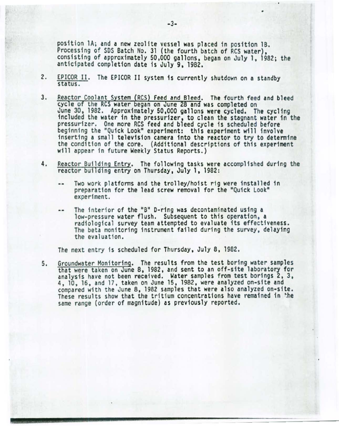position lA; and a new zeolite vessel was placed in position lB. Processing of SDS Batch No. 31 (the fourth batch of RCS water), consisting of approximately 50,000 gallons, began on July 1, 1982; the anticipated completion date is July 9, 1982.

- 2. EPICOR II. The EPICOR II system is currently shutdown on a standby status.
- 3. Reactor Coolant System (RCS) Feed and Bleed. The fourth feed and bleed cycle of the RCS water began on June 28 and was completed on<br>June 30, 1982. Approximately 50,000 gallons were cycled. The cycling included the water in the pressurizer, to clean the stagnant water in the pressurizer. One more RCS feed and bleed cycle is scheduled before beginning the "Quick Look" experiment: this experiment will involve inserting a small television camera into the reactor to try to determine the condition of the core. (Additional descriptions of this experiment will appear in future Weekly Status Reports.)
- 4. Reactor Building Entry. The following tasks were accomplished during the reactor building entry on Thursday, July 1, 1982:
	- Two work platforms and the trolley/hoist rig were installed in preparation for the lead screw removal for the "Quick Look" experiment.
	- The interior of the "8" D-ring was decontaminated using a low-pressure water flush. Subsequent to this operation, a radiological survey team attempted to evaluate its effectiveness. The beta monitoring instrument failed during the survey, delaying<br>the evaluation.

The next entry is scheduled for Thursday, July 8, 1982.

5. Groundwater Monitoring. The results from the test boring water samples<br>that were taken on June 8, 1982, and sent to an off-site laboratory for<br>analysis have not been received. Water samples from test borings 2, 3, 4, 10, 16, and 17, taken on June 15, 1982, were analyzed on-site and compared with the June 8, 1982 samples that were also analyzed on-site. These results show that the tritium concentrations have remained fn ~he same range (order of magnitude) as previously reported.

•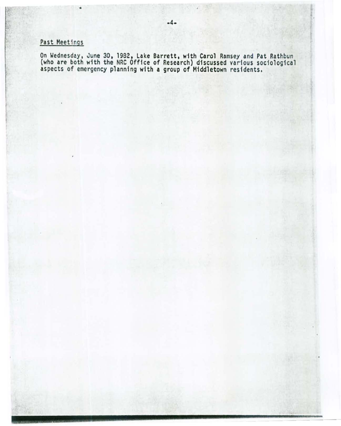# Past Meetings

•

On Wednesday, June 30, 1982, La ke Barrett, with Carol Ramsey and Pat Rathbun (who are both with the NRC Office of Research) discussed various sociological aspects of emergency planning with a group of Middletown residents.